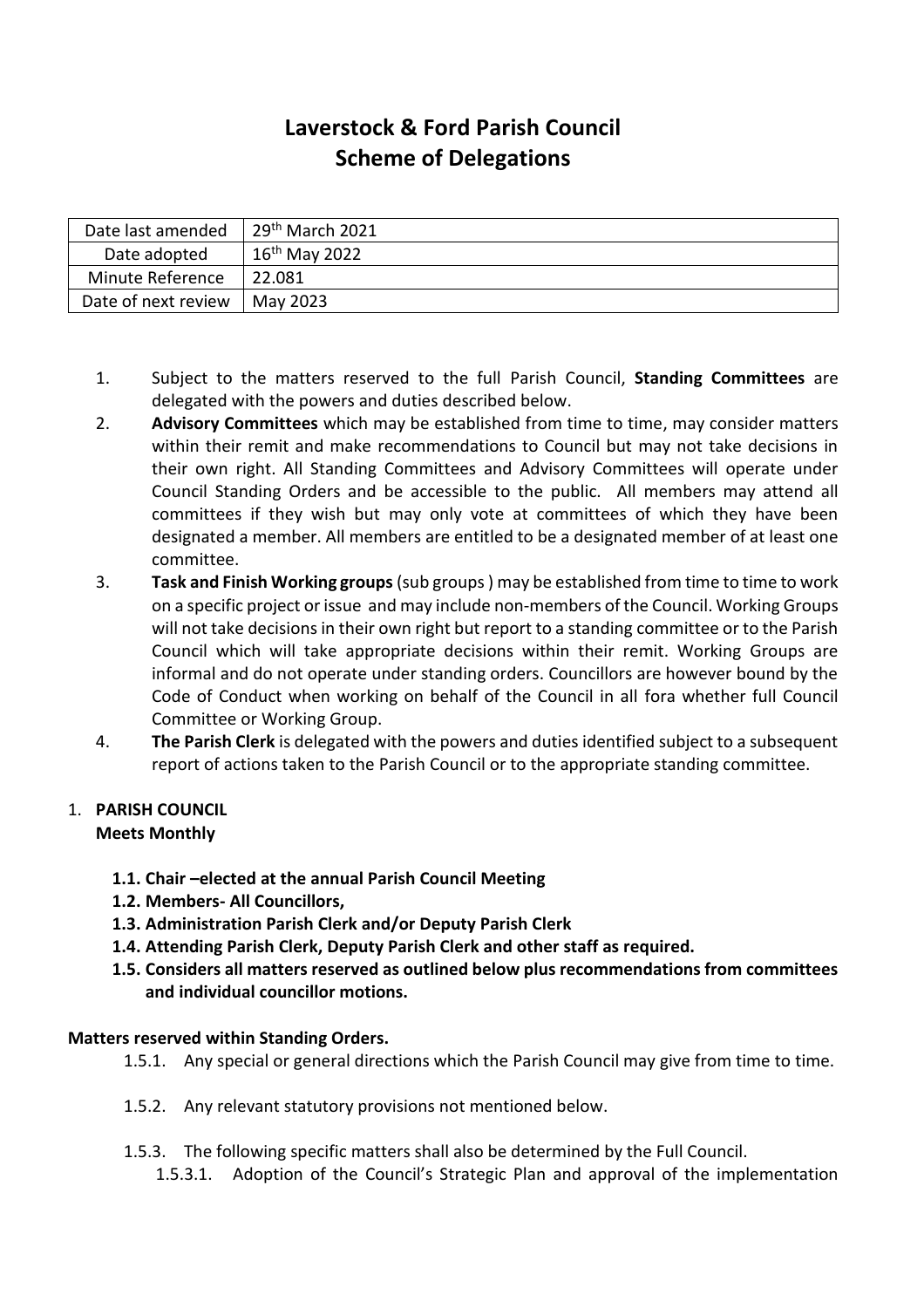# **Laverstock & Ford Parish Council Scheme of Delegations**

| Date last amended   | $29th$ March 2021  |
|---------------------|--------------------|
| Date adopted        | $16^{th}$ May 2022 |
| Minute Reference    | 22.081             |
| Date of next review | May 2023           |

- 1. Subject to the matters reserved to the full Parish Council, **Standing Committees** are delegated with the powers and duties described below.
- 2. **Advisory Committees** which may be established from time to time, may consider matters within their remit and make recommendations to Council but may not take decisions in their own right. All Standing Committees and Advisory Committees will operate under Council Standing Orders and be accessible to the public. All members may attend all committees if they wish but may only vote at committees of which they have been designated a member. All members are entitled to be a designated member of at least one committee.
- 3. **Task and Finish Working groups**(sub groups ) may be established from time to time to work on a specific project or issue and may include non-members of the Council. Working Groups will not take decisions in their own right but report to a standing committee or to the Parish Council which will take appropriate decisions within their remit. Working Groups are informal and do not operate under standing orders. Councillors are however bound by the Code of Conduct when working on behalf of the Council in all fora whether full Council Committee or Working Group.
- 4. **The Parish Clerk** is delegated with the powers and duties identified subject to a subsequent report of actions taken to the Parish Council or to the appropriate standing committee.

#### 1. **PARISH COUNCIL Meets Monthly**

- **1.1. Chair –elected at the annual Parish Council Meeting**
- **1.2. Members- All Councillors,**
- **1.3. Administration Parish Clerk and/or Deputy Parish Clerk**
- **1.4. Attending Parish Clerk, Deputy Parish Clerk and other staff as required.**
- **1.5. Considers all matters reserved as outlined below plus recommendations from committees and individual councillor motions.**

## **Matters reserved within Standing Orders.**

- 1.5.1. Any special or general directions which the Parish Council may give from time to time.
- 1.5.2. Any relevant statutory provisions not mentioned below.
- 1.5.3. The following specific matters shall also be determined by the Full Council.
	- 1.5.3.1. Adoption of the Council's Strategic Plan and approval of the implementation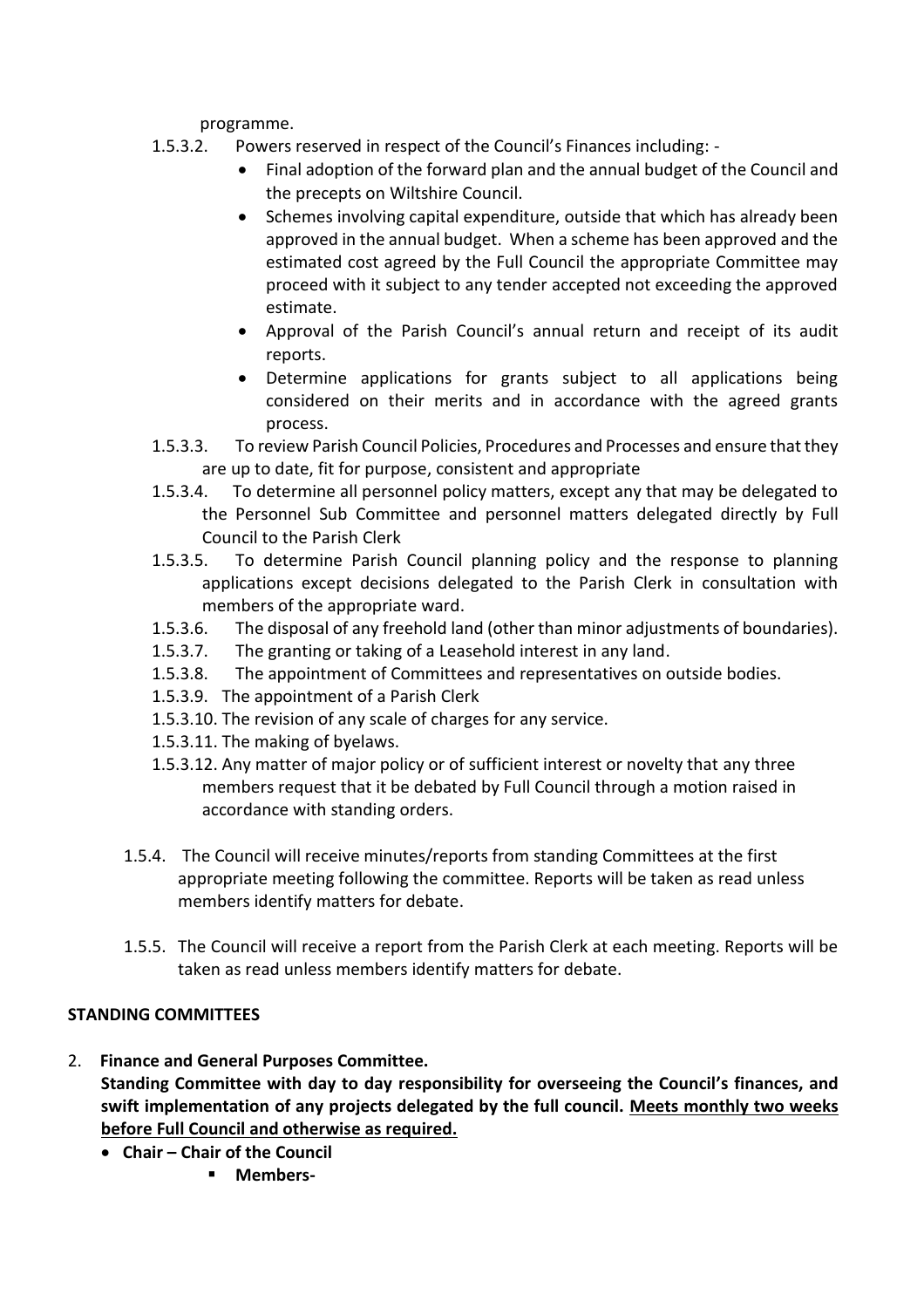programme.

- 1.5.3.2. Powers reserved in respect of the Council's Finances including:
	- Final adoption of the forward plan and the annual budget of the Council and the precepts on Wiltshire Council.
	- Schemes involving capital expenditure, outside that which has already been approved in the annual budget. When a scheme has been approved and the estimated cost agreed by the Full Council the appropriate Committee may proceed with it subject to any tender accepted not exceeding the approved estimate.
	- Approval of the Parish Council's annual return and receipt of its audit reports.
	- Determine applications for grants subject to all applications being considered on their merits and in accordance with the agreed grants process.
- 1.5.3.3. To review Parish Council Policies, Procedures and Processes and ensure that they are up to date, fit for purpose, consistent and appropriate
- 1.5.3.4. To determine all personnel policy matters, except any that may be delegated to the Personnel Sub Committee and personnel matters delegated directly by Full Council to the Parish Clerk
- 1.5.3.5. To determine Parish Council planning policy and the response to planning applications except decisions delegated to the Parish Clerk in consultation with members of the appropriate ward.
- 1.5.3.6. The disposal of any freehold land (other than minor adjustments of boundaries).
- 1.5.3.7. The granting or taking of a Leasehold interest in any land.
- 1.5.3.8. The appointment of Committees and representatives on outside bodies.
- 1.5.3.9. The appointment of a Parish Clerk
- 1.5.3.10. The revision of any scale of charges for any service.
- 1.5.3.11. The making of byelaws.
- 1.5.3.12. Any matter of major policy or of sufficient interest or novelty that any three members request that it be debated by Full Council through a motion raised in accordance with standing orders.
- 1.5.4. The Council will receive minutes/reports from standing Committees at the first appropriate meeting following the committee. Reports will be taken as read unless members identify matters for debate.
- 1.5.5. The Council will receive a report from the Parish Clerk at each meeting. Reports will be taken as read unless members identify matters for debate.

#### **STANDING COMMITTEES**

- 2. **Finance and General Purposes Committee. Standing Committee with day to day responsibility for overseeing the Council's finances, and swift implementation of any projects delegated by the full council. Meets monthly two weeks before Full Council and otherwise as required.** 
	- **Chair – Chair of the Council**
		- **Members-**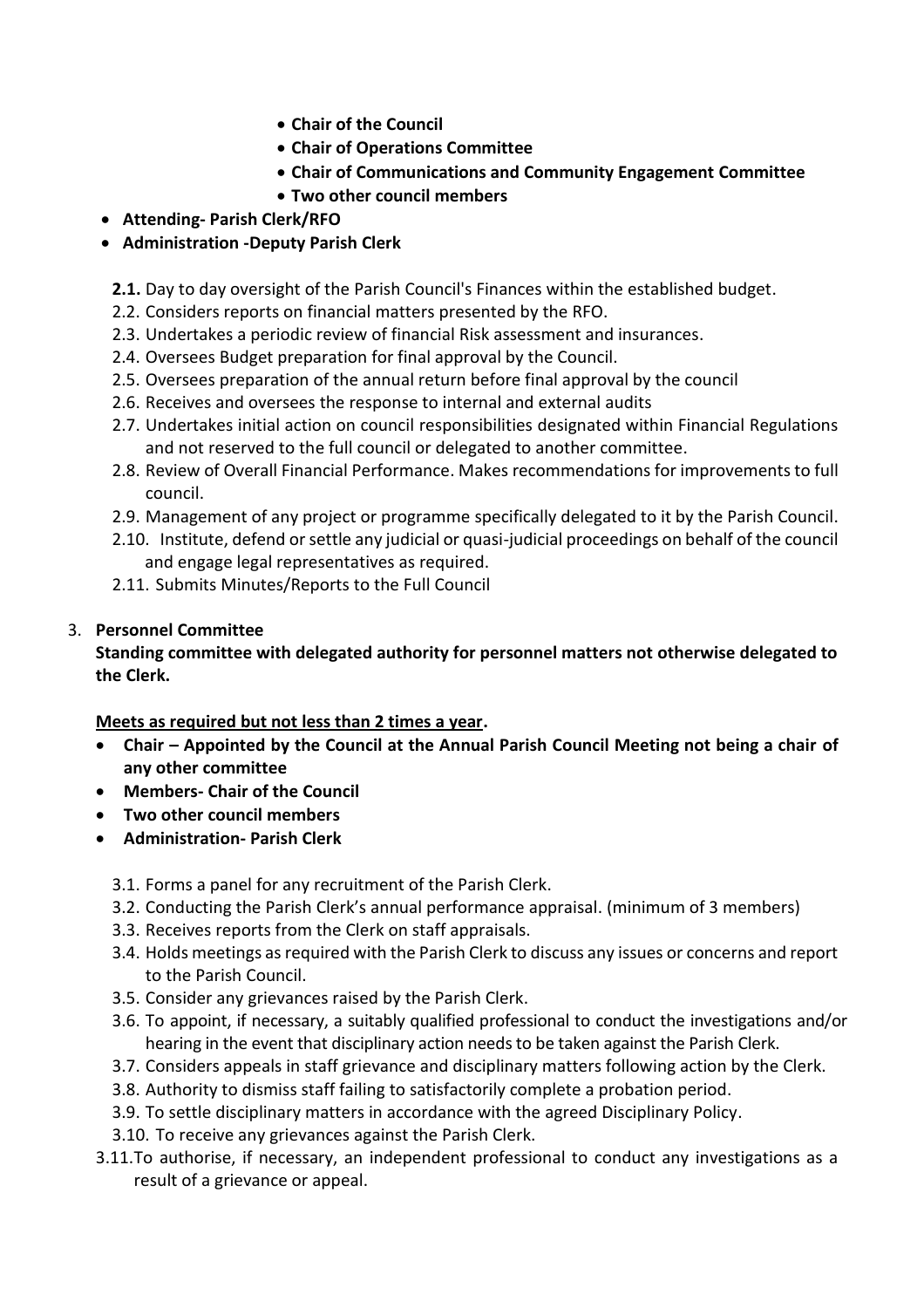- **Chair of the Council**
- **Chair of Operations Committee**
- **Chair of Communications and Community Engagement Committee**
- **Two other council members**
- **Attending- Parish Clerk/RFO**
- **Administration -Deputy Parish Clerk**

**2.1.** Day to day oversight of the Parish Council's Finances within the established budget.

- 2.2. Considers reports on financial matters presented by the RFO.
- 2.3. Undertakes a periodic review of financial Risk assessment and insurances.
- 2.4. Oversees Budget preparation for final approval by the Council.
- 2.5. Oversees preparation of the annual return before final approval by the council
- 2.6. Receives and oversees the response to internal and external audits
- 2.7. Undertakes initial action on council responsibilities designated within Financial Regulations and not reserved to the full council or delegated to another committee.
- 2.8. Review of Overall Financial Performance. Makes recommendations for improvements to full council.
- 2.9. Management of any project or programme specifically delegated to it by the Parish Council.
- 2.10. Institute, defend or settle any judicial or quasi-judicial proceedings on behalf of the council and engage legal representatives as required.
- 2.11. Submits Minutes/Reports to the Full Council

# 3. **Personnel Committee**

**Standing committee with delegated authority for personnel matters not otherwise delegated to the Clerk.** 

## **Meets as required but not less than 2 times a year.**

- **Chair – Appointed by the Council at the Annual Parish Council Meeting not being a chair of any other committee**
- **Members- Chair of the Council**
- **Two other council members**
- **Administration- Parish Clerk**
	- 3.1. Forms a panel for any recruitment of the Parish Clerk.
	- 3.2. Conducting the Parish Clerk's annual performance appraisal. (minimum of 3 members)
	- 3.3. Receives reports from the Clerk on staff appraisals.
	- 3.4. Holds meetings as required with the Parish Clerk to discuss any issues or concerns and report to the Parish Council.
	- 3.5. Consider any grievances raised by the Parish Clerk.
	- 3.6. To appoint, if necessary, a suitably qualified professional to conduct the investigations and/or hearing in the event that disciplinary action needs to be taken against the Parish Clerk.
	- 3.7. Considers appeals in staff grievance and disciplinary matters following action by the Clerk.
	- 3.8. Authority to dismiss staff failing to satisfactorily complete a probation period.
	- 3.9. To settle disciplinary matters in accordance with the agreed Disciplinary Policy.
	- 3.10. To receive any grievances against the Parish Clerk.
- 3.11.To authorise, if necessary, an independent professional to conduct any investigations as a result of a grievance or appeal.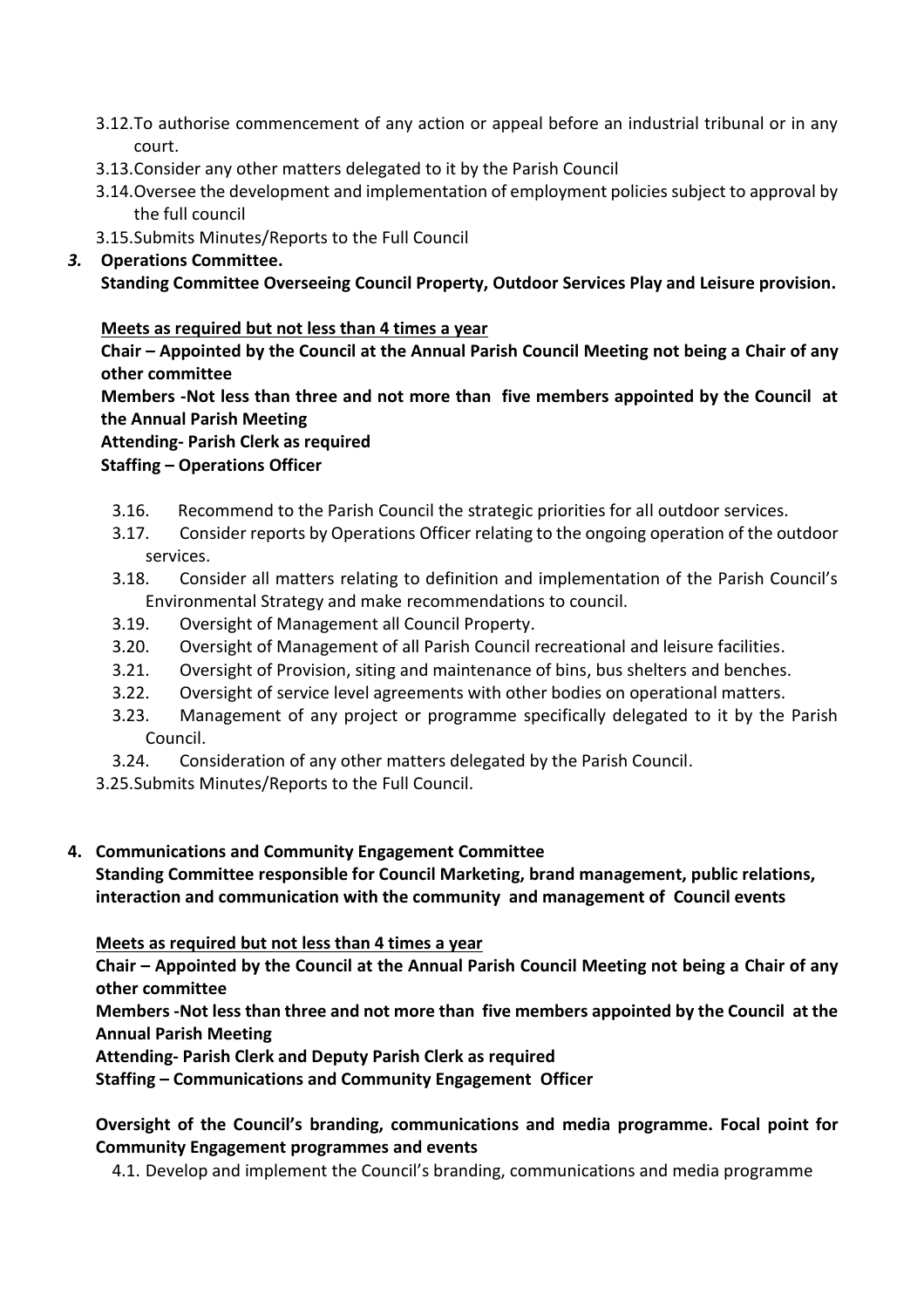- 3.12.To authorise commencement of any action or appeal before an industrial tribunal or in any court.
- 3.13.Consider any other matters delegated to it by the Parish Council
- 3.14.Oversee the development and implementation of employment policies subject to approval by the full council
- 3.15.Submits Minutes/Reports to the Full Council

# *3.* **Operations Committee.**

**Standing Committee Overseeing Council Property, Outdoor Services Play and Leisure provision.** 

# **Meets as required but not less than 4 times a year**

**Chair – Appointed by the Council at the Annual Parish Council Meeting not being a Chair of any other committee**

**Members -Not less than three and not more than five members appointed by the Council at the Annual Parish Meeting**

**Attending- Parish Clerk as required**

**Staffing – Operations Officer**

- 3.16. Recommend to the Parish Council the strategic priorities for all outdoor services.
- 3.17. Consider reports by Operations Officer relating to the ongoing operation of the outdoor services.
- 3.18. Consider all matters relating to definition and implementation of the Parish Council's Environmental Strategy and make recommendations to council.
- 3.19. Oversight of Management all Council Property.
- 3.20. Oversight of Management of all Parish Council recreational and leisure facilities.
- 3.21. Oversight of Provision, siting and maintenance of bins, bus shelters and benches.
- 3.22. Oversight of service level agreements with other bodies on operational matters.
- 3.23. Management of any project or programme specifically delegated to it by the Parish Council.
- 3.24. Consideration of any other matters delegated by the Parish Council.

3.25.Submits Minutes/Reports to the Full Council.

## **4. Communications and Community Engagement Committee**

**Standing Committee responsible for Council Marketing, brand management, public relations, interaction and communication with the community and management of Council events**

**Meets as required but not less than 4 times a year**

**Chair – Appointed by the Council at the Annual Parish Council Meeting not being a Chair of any other committee**

**Members -Not less than three and not more than five members appointed by the Council at the Annual Parish Meeting**

**Attending- Parish Clerk and Deputy Parish Clerk as required**

**Staffing – Communications and Community Engagement Officer**

**Oversight of the Council's branding, communications and media programme. Focal point for Community Engagement programmes and events** 

4.1. Develop and implement the Council's branding, communications and media programme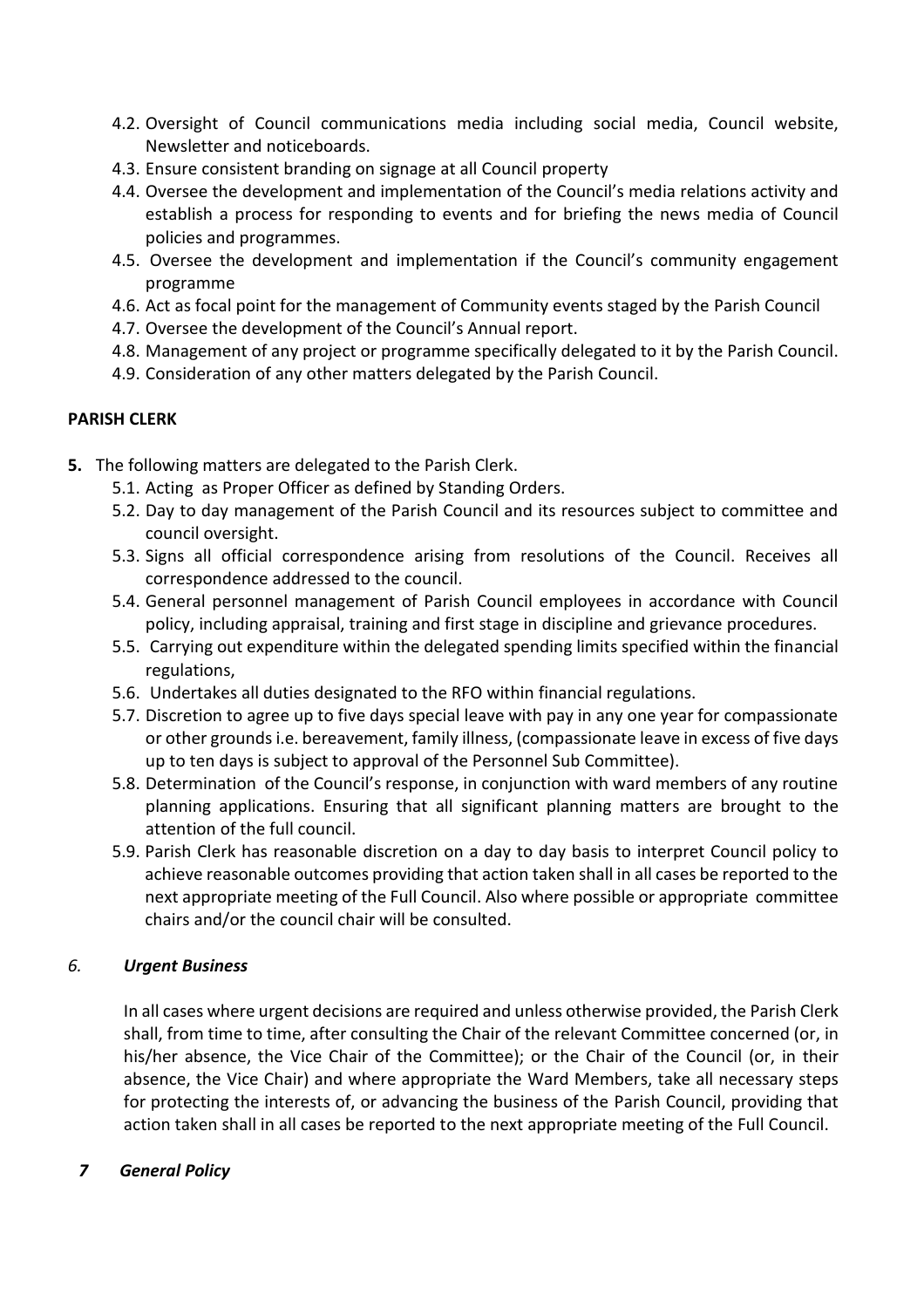- 4.2. Oversight of Council communications media including social media, Council website, Newsletter and noticeboards.
- 4.3. Ensure consistent branding on signage at all Council property
- 4.4. Oversee the development and implementation of the Council's media relations activity and establish a process for responding to events and for briefing the news media of Council policies and programmes.
- 4.5. Oversee the development and implementation if the Council's community engagement programme
- 4.6. Act as focal point for the management of Community events staged by the Parish Council
- 4.7. Oversee the development of the Council's Annual report.
- 4.8. Management of any project or programme specifically delegated to it by the Parish Council.
- 4.9. Consideration of any other matters delegated by the Parish Council.

## **PARISH CLERK**

- **5.** The following matters are delegated to the Parish Clerk.
	- 5.1. Acting as Proper Officer as defined by Standing Orders.
	- 5.2. Day to day management of the Parish Council and its resources subject to committee and council oversight.
	- 5.3. Signs all official correspondence arising from resolutions of the Council. Receives all correspondence addressed to the council.
	- 5.4. General personnel management of Parish Council employees in accordance with Council policy, including appraisal, training and first stage in discipline and grievance procedures.
	- 5.5. Carrying out expenditure within the delegated spending limits specified within the financial regulations,
	- 5.6. Undertakes all duties designated to the RFO within financial regulations.
	- 5.7. Discretion to agree up to five days special leave with pay in any one year for compassionate or other grounds i.e. bereavement, family illness, (compassionate leave in excess of five days up to ten days is subject to approval of the Personnel Sub Committee).
	- 5.8. Determination of the Council's response, in conjunction with ward members of any routine planning applications. Ensuring that all significant planning matters are brought to the attention of the full council.
	- 5.9. Parish Clerk has reasonable discretion on a day to day basis to interpret Council policy to achieve reasonable outcomes providing that action taken shall in all cases be reported to the next appropriate meeting of the Full Council. Also where possible or appropriate committee chairs and/or the council chair will be consulted.

# *6. Urgent Business*

In all cases where urgent decisions are required and unless otherwise provided, the Parish Clerk shall, from time to time, after consulting the Chair of the relevant Committee concerned (or, in his/her absence, the Vice Chair of the Committee); or the Chair of the Council (or, in their absence, the Vice Chair) and where appropriate the Ward Members, take all necessary steps for protecting the interests of, or advancing the business of the Parish Council, providing that action taken shall in all cases be reported to the next appropriate meeting of the Full Council.

## *7 General Policy*